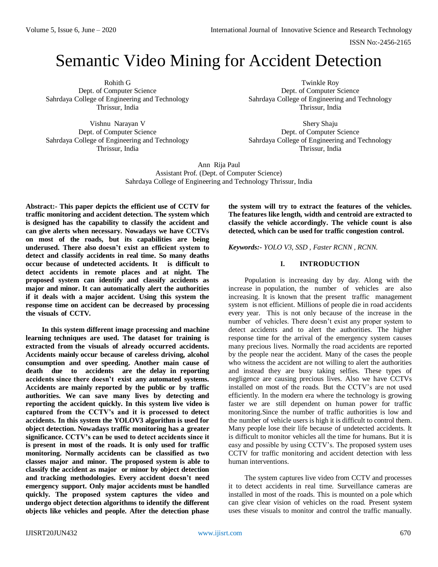# Semantic Video Mining for Accident Detection

Rohith G Dept. of Computer Science Sahrdaya College of Engineering and Technology Thrissur, India

Vishnu Narayan V Dept. of Computer Science Sahrdaya College of Engineering and Technology Thrissur, India

Twinkle Roy Dept. of Computer Science Sahrdaya College of Engineering and Technology Thrissur, India

Shery Shaju Dept. of Computer Science Sahrdaya College of Engineering and Technology Thrissur, India

Ann Rija Paul Assistant Prof. (Dept. of Computer Science) Sahrdaya College of Engineering and Technology Thrissur, India

**Abstract:- This paper depicts the efficient use of CCTV for traffic monitoring and accident detection. The system which is designed has the capability to classify the accident and can give alerts when necessary. Nowadays we have CCTVs on most of the roads, but its capabilities are being underused. There also doesn't exist an efficient system to detect and classify accidents in real time. So many deaths occur because of undetected accidents. It is difficult to detect accidents in remote places and at night. The proposed system can identify and classify accidents as major and minor. It can automatically alert the authorities if it deals with a major accident. Using this system the response time on accident can be decreased by processing the visuals of CCTV.**

**In this system different image processing and machine learning techniques are used. The dataset for training is extracted from the visuals of already occurred accidents. Accidents mainly occur because of careless driving, alcohol consumption and over speeding. Another main cause of death due to accidents are the delay in reporting accidents since there doesn't exist any automated systems. Accidents are mainly reported by the public or by traffic authorities. We can save many lives by detecting and reporting the accident quickly. In this system live video is captured from the CCTV's and it is processed to detect accidents. In this system the YOLOV3 algorithm is used for object detection. Nowadays traffic monitoring has a greater significance. CCTV's can be used to detect accidents since it is present in most of the roads. It is only used for traffic monitoring. Normally accidents can be classified as two classes major and minor. The proposed system is able to classify the accident as major or minor by object detection and tracking methodologies. Every accident doesn't need emergency support. Only major accidents must be handled quickly. The proposed system captures the video and undergo object detection algorithms to identify the different objects like vehicles and people. After the detection phase** 

**the system will try to extract the features of the vehicles. The features like length, width and centroid are extracted to classify the vehicle accordingly. The vehicle count is also detected, which can be used for traffic congestion control.**

*Keywords:- YOLO V3, SSD , Faster RCNN , RCNN.*

## **I. INTRODUCTION**

Population is increasing day by day. Along with the increase in population, the number of vehicles are also increasing. It is known that the present traffic management system is not efficient. Millions of people die in road accidents every year. This is not only because of the increase in the number of vehicles. There doesn't exist any proper system to detect accidents and to alert the authorities. The higher response time for the arrival of the emergency system causes many precious lives. Normally the road accidents are reported by the people near the accident. Many of the cases the people who witness the accident are not willing to alert the authorities and instead they are busy taking selfies. These types of negligence are causing precious lives. Also we have CCTVs installed on most of the roads. But the CCTV's are not used efficiently. In the modern era where the technology is growing faster we are still dependent on human power for traffic monitoring.Since the number of traffic authorities is low and the number of vehicle users is high it is difficult to control them. Many people lose their life because of undetected accidents. It is difficult to monitor vehicles all the time for humans. But it is easy and possible by using CCTV's. The proposed system uses CCTV for traffic monitoring and accident detection with less human interventions.

The system captures live video from CCTV and processes it to detect accidents in real time. Surveillance cameras are installed in most of the roads. This is mounted on a pole which can give clear vision of vehicles on the road. Present system uses these visuals to monitor and control the traffic manually.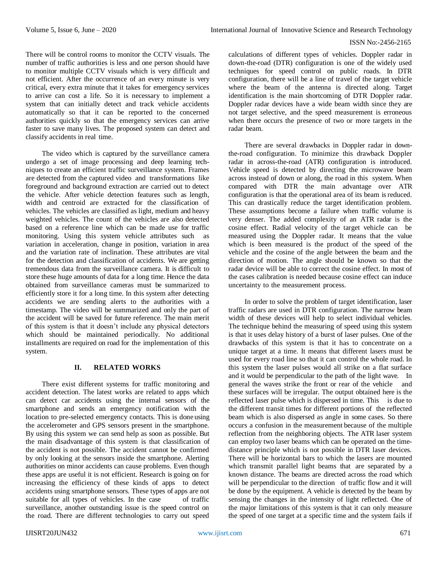There will be control rooms to monitor the CCTV visuals. The number of traffic authorities is less and one person should have to monitor multiple CCTV visuals which is very difficult and not efficient. After the occurrence of an every minute is very critical, every extra minute that it takes for emergency services to arrive can cost a life. So it is necessary to implement a system that can initially detect and track vehicle accidents automatically so that it can be reported to the concerned authorities quickly so that the emergency services can arrive faster to save many lives. The proposed system can detect and classify accidents in real time.

The video which is captured by the surveillance camera undergo a set of image processing and deep learning techniques to create an efficient traffic surveillance system. Frames are detected from the captured video and transformations like foreground and background extraction are carried out to detect the vehicle. After vehicle detection features such as length, width and centroid are extracted for the classification of vehicles. The vehicles are classified as light, medium and heavy weighted vehicles. The count of the vehicles are also detected based on a reference line which can be made use for traffic monitoring. Using this system vehicle attributes such as variation in acceleration, change in position, variation in area and the variation rate of inclination. These attributes are vital for the detection and classification of accidents. We are getting tremendous data from the surveillance camera. It is difficult to store these huge amounts of data for a long time. Hence the data obtained from surveillance cameras must be summarized to efficiently store it for a long time. In this system after detecting accidents we are sending alerts to the authorities with a timestamp. The video will be summarized and only the part of the accident will be saved for future reference. The main merit of this system is that it doesn't include any physical detectors which should be maintained periodically. No additional installments are required on road for the implementation of this system.

#### **II. RELATED WORKS**

There exist different systems for traffic monitoring and accident detection. The latest works are related to apps which can detect car accidents using the internal sensors of the smartphone and sends an emergency notification with the location to pre-selected emergency contacts. This is done using the accelerometer and GPS sensors present in the smartphone. By using this system we can send help as soon as possible. But the main disadvantage of this system is that classification of the accident is not possible. The accident cannot be confirmed by only looking at the sensors inside the smartphone. Alerting authorities on minor accidents can cause problems. Even though these apps are useful it is not efficient. Research is going on for increasing the efficiency of these kinds of apps to detect accidents using smartphone sensors. These types of apps are not suitable for all types of vehicles. In the case of traffic surveillance, another outstanding issue is the speed control on the road. There are different technologies to carry out speed

calculations of different types of vehicles. Doppler radar in down-the-road (DTR) configuration is one of the widely used techniques for speed control on public roads. In DTR configuration, there will be a line of travel of the target vehicle where the beam of the antenna is directed along. Target identification is the main shortcoming of DTR Doppler radar. Doppler radar devices have a wide beam width since they are not target selective, and the speed measurement is erroneous when there occurs the presence of two or more targets in the radar beam.

There are several drawbacks in Doppler radar in downthe-road configuration. To minimize this drawback Doppler radar in across-the-road (ATR) configuration is introduced. Vehicle speed is detected by directing the microwave beam across instead of down or along, the road in this system. When compared with DTR the main advantage over ATR configuration is that the operational area of its beam is reduced. This can drastically reduce the target identification problem. These assumptions become a failure when traffic volume is very denser. The added complexity of an ATR radar is the cosine effect. Radial velocity of the target vehicle can be measured using the Doppler radar. It means that the value which is been measured is the product of the speed of the vehicle and the cosine of the angle between the beam and the direction of motion. The angle should be known so that the radar device will be able to correct the cosine effect. In most of the cases calibration is needed because cosine effect can induce uncertainty to the measurement process.

In order to solve the problem of target identification, laser traffic radars are used in DTR configuration. The narrow beam width of these devices will help to select individual vehicles. The technique behind the measuring of speed using this system is that it uses delay history of a burst of laser pulses. One of the drawbacks of this system is that it has to concentrate on a unique target at a time. It means that different lasers must be used for every road line so that it can control the whole road. In this system the laser pulses would all strike on a flat surface and it would be perpendicular to the path of the light wave. In general the waves strike the front or rear of the vehicle and these surfaces will be irregular. The output obtained here is the reflected laser pulse which is dispersed in time. This is due to the different transit times for different portions of the reflected beam which is also dispersed as angle in some cases. So there occurs a confusion in the measurement because of the multiple reflection from the neighboring objects. The ATR laser system can employ two laser beams which can be operated on the timedistance principle which is not possible in DTR laser devices. There will be horizontal bars to which the lasers are mounted which transmit parallel light beams that are separated by a known distance. The beams are directed across the road which will be perpendicular to the direction of traffic flow and it will be done by the equipment. A vehicle is detected by the beam by sensing the changes in the intensity of light reflected. One of the major limitations of this system is that it can only measure the speed of one target at a specific time and the system fails if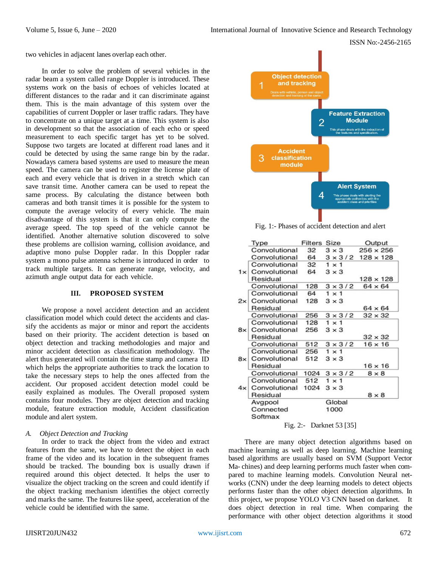two vehicles in adjacent lanes overlap each other.

In order to solve the problem of several vehicles in the radar beam a system called range Doppler is introduced. These systems work on the basis of echoes of vehicles located at different distances to the radar and it can discriminate against them. This is the main advantage of this system over the capabilities of current Doppler or laser traffic radars. They have to concentrate on a unique target at a time. This system is also in development so that the association of each echo or speed measurement to each specific target has yet to be solved. Suppose two targets are located at different road lanes and it could be detected by using the same range bin by the radar. Nowadays camera based systems are used to measure the mean speed. The camera can be used to register the license plate of each and every vehicle that is driven in a stretch which can save transit time. Another camera can be used to repeat the same process. By calculating the distance between both cameras and both transit times it is possible for the system to compute the average velocity of every vehicle. The main disadvantage of this system is that it can only compute the average speed. The top speed of the vehicle cannot be identified. Another alternative solution discovered to solve these problems are collision warning, collision avoidance, and adaptive mono pulse Doppler radar. In this Doppler radar system a mono pulse antenna scheme is introduced in order to track multiple targets. It can generate range, velocity, and azimuth angle output data for each vehicle.

#### **III. PROPOSED SYSTEM**

We propose a novel accident detection and an accident classification model which could detect the accidents and classify the accidents as major or minor and report the accidents based on their priority. The accident detection is based on object detection and tracking methodologies and major and minor accident detection as classification methodology. The alert thus generated will contain the time stamp and camera ID which helps the appropriate authorities to track the location to take the necessary steps to help the ones affected from the accident. Our proposed accident detection model could be easily explained as modules. The Overall proposed system contains four modules. They are object detection and tracking module, feature extraction module, Accident classification module and alert system.

## *A. Object Detection and Tracking*

In order to track the object from the video and extract features from the same, we have to detect the object in each frame of the video and its location in the subsequent frames should be tracked. The bounding box is usually drawn if required around this object detected. It helps the user to visualize the object tracking on the screen and could identify if the object tracking mechanism identifies the object correctly and marks the same. The features like speed, acceleration of the vehicle could be identified with the same.



Fig. 1:- Phases of accident detection and alert

|  | Type                     | <b>Filters Size</b> |                          | Output                          |  |  |
|--|--------------------------|---------------------|--------------------------|---------------------------------|--|--|
|  | Convolutional            | 32                  | $3 \times 3$             | $256 \times 256$                |  |  |
|  | Convolutional 64         |                     |                          | $3 \times 3/2$ 128 $\times$ 128 |  |  |
|  | Convolutional 32         |                     | $1 \times 1$             |                                 |  |  |
|  | $1 \times$ Convolutional | 64                  | $3 \times 3$             |                                 |  |  |
|  | Residual                 |                     |                          | $128 \times 128$                |  |  |
|  | Convolutional            | 128                 | $3 \times 3/2$           | $64 \times 64$                  |  |  |
|  | Convolutional            | 64                  | $1 \times 1$             |                                 |  |  |
|  | 2x Convolutional         | 128                 | $3 \times 3$             |                                 |  |  |
|  | Residual                 |                     |                          | $64 \times 64$                  |  |  |
|  | Convolutional            | 256                 | $3 \times 3/2$           | $32 \times 32$                  |  |  |
|  | Convolutional            | 128                 | $1 \times 1$             |                                 |  |  |
|  | 8x Convolutional         | 256                 | $3 \times 3$             |                                 |  |  |
|  | Residual                 |                     |                          | $32 \times 32$                  |  |  |
|  | Convolutional            | 512                 | $3 \times 3/2$           | $16 \times 16$                  |  |  |
|  | Convolutional            | 256                 | $1 \times 1$             |                                 |  |  |
|  | 8x Convolutional         | 512                 | $3 \times 3$             |                                 |  |  |
|  | Residual                 |                     |                          | $16 \times 16$                  |  |  |
|  | Convolutional            | 1024                | $3 \times 3/2$           | $8 \times 8$                    |  |  |
|  | Convolutional            | 512                 | $1 \times 1$             |                                 |  |  |
|  | 4x Convolutional 1024    |                     | $3 \times 3$             |                                 |  |  |
|  | Residual                 |                     |                          | $8 \times 8$                    |  |  |
|  | Avgpool                  |                     | Global                   |                                 |  |  |
|  | Connected                |                     | 1000                     |                                 |  |  |
|  | Softmax                  |                     |                          |                                 |  |  |
|  |                          |                     | Fig. 2:- Darknet 53 [35] |                                 |  |  |

There are many object detection algorithms based on machine learning as well as deep learning. Machine learning based algorithms are usually based on SVM (Support Vector Ma- chines) and deep learning performs much faster when compared to machine learning models. Convolution Neural networks (CNN) under the deep learning models to detect objects performs faster than the other object detection algorithms. In this project, we propose YOLO V3 CNN based on darknet. It does object detection in real time. When comparing the performance with other object detection algorithms it stood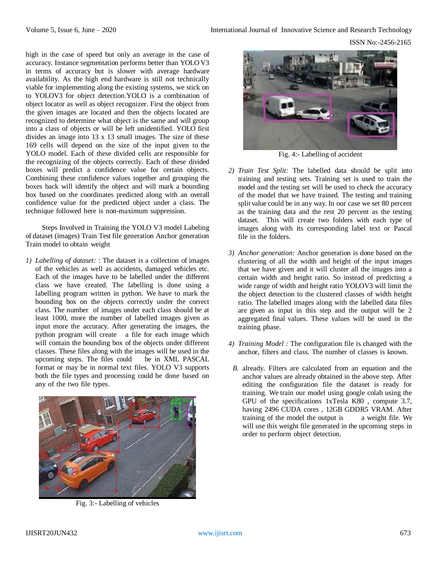high in the case of speed but only an average in the case of accuracy. Instance segmentation performs better than YOLO V3 in terms of accuracy but is slower with average hardware availability. As the high end hardware is still not technically viable for implementing along the existing systems, we stick on to YOLOV3 for object detection.YOLO is a combination of object locator as well as object recognizer. First the object from the given images are located and then the objects located are recognized to determine what object is the same and will group into a class of objects or will be left unidentified. YOLO first divides an image into 13 x 13 small images. The size of these 169 cells will depend on the size of the input given to the YOLO model. Each of these divided cells are responsible for the recognizing of the objects correctly. Each of these divided boxes will predict a confidence value for certain objects. Combining these confidence values together and grouping the boxes back will identify the object and will mark a bounding box based on the coordinates predicted along with an overall confidence value for the predicted object under a class. The technique followed here is non-maximum suppression.

Steps Involved in Training the YOLO V3 model Labeling of dataset (images) Train Test file generation Anchor generation Train model to obtain weight

*1) Labelling of dataset:* : The dataset is a collection of images of the vehicles as well as accidents, damaged vehicles etc. Each of the images have to be labelled under the different class we have created. The labelling is done using a labelling program written in python. We have to mark the bounding box on the objects correctly under the correct class. The number of images under each class should be at least 1000, more the number of labelled images given as input more the accuracy. After generating the images, the python program will create a file for each image which will contain the bounding box of the objects under different classes. These files along with the images will be used in the upcoming steps. The files could be in XML PASCAL format or may be in normal text files. YOLO V3 supports both the file types and processing could be done based on any of the two file types.



Fig. 3:- Labelling of vehicles



Fig. 4:- Labelling of accident

- *2) Train Test Split:* The labelled data should be split into training and testing sets. Training set is used to train the model and the testing set will be used to check the accuracy of the model that we have trained. The testing and training split value could be in any way. In our case we set 80 percent as the training data and the rest 20 percent as the testing dataset. This will create two folders with each type of images along with its corresponding label text or Pascal file in the folders.
- *3) Anchor generation:* Anchor generation is done based on the clustering of all the width and height of the input images that we have given and it will cluster all the images into a certain width and height ratio. So instead of predicting a wide range of width and height ratio YOLOV3 will limit the the object detection to the clustered classes of width height ratio. The labelled images along with the labelled data files are given as input in this step and the output will be 2 aggregated final values. These values will be used in the training phase.
- *4) Training Model :* The configuration file is changed with the anchor, filters and class. The number of classes is known.
	- *B.* already. Filters are calculated from an equation and the anchor values are already obtained in the above step. After editing the configuration file the dataset is ready for training. We train our model using google colab using the GPU of the specifications 1xTesla K80 , compute 3.7, having 2496 CUDA cores , 12GB GDDR5 VRAM. After training of the model the output is a weight file. We will use this weight file generated in the upcoming steps in order to perform object detection.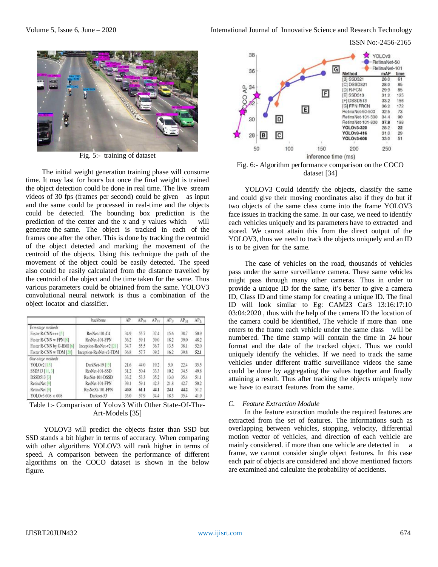ISSN No:-2456-2165



Fig. 5:- training of dataset

The initial weight generation training phase will consume time. It may last for hours but once the final weight is trained the object detection could be done in real time. The live stream videos of 30 fps (frames per second) could be given as input and the same could be processed in real-time and the objects could be detected. The bounding box prediction is the prediction of the center and the x and y values which will generate the same. The object is tracked in each of the frames one after the other. This is done by tracking the centroid of the object detected and marking the movement of the centroid of the objects. Using this technique the path of the movement of the object could be easily detected. The speed also could be easily calculated from the distance travelled by the centroid of the object and the time taken for the same. Thus various parameters could be obtained from the same. YOLOV3 convolutional neural network is thus a combination of the object locator and classifier.

|                           | backbone                   | AP   | AP <sub>50</sub> | $AP_{75}$ | AP <sub>S</sub> | $AP_M$ | AP <sub>L</sub> |
|---------------------------|----------------------------|------|------------------|-----------|-----------------|--------|-----------------|
| Two-stage methods         |                            |      |                  |           |                 |        |                 |
| Faster R-CNN+++ [5]       | ResNet-101-C4              | 34.9 | 55.7             | 37.4      | 15.6            | 38.7   | 50.9            |
| Faster R-CNN w FPN [8]    | ResNet-101-FPN             | 36.2 | 59.1             | 39.0      | 18.2            | 39.0   | 48.2            |
| Faster R-CNN by G-RMI [6] | Inception-ResNet-v2 [21]   | 34.7 | 55.5             | 36.7      | 13.5            | 38.1   | 52.0            |
| Faster R-CNN w TDM [20]   | Inception-ResNet-v2-TDM    | 36.8 | 57.7             | 39.2      | 16.2            | 39.8   | 52.1            |
| One-stage methods         |                            |      |                  |           |                 |        |                 |
| YOLOv2 [15]               | DarkNet-19 <sup>[15]</sup> | 21.6 | 44.0             | 19.2      | 5.0             | 22.4   | 35.5            |
| SSD513 [11, 3]            | ResNet-101-SSD             | 31.2 | 50.4             | 33.3      | 10.2            | 34.5   | 49.8            |
| DSSD513 [3]               | ResNet-101-DSSD            | 33.2 | 53.3             | 35.2      | 13.0            | 35.4   | 51.1            |
| RetinaNet <sup>[9]</sup>  | ResNet-101-FPN             | 39.1 | 59.1             | 42.3      | 21.8            | 42.7   | 50.2            |
| RetinaNet [9]             | ResNeXt-101-FPN            | 40.8 | 61.1             | 44.1      | 24.1            | 44.2   | 51.2            |
| YOLOv3 608 × 608          | Darknet-53                 | 33.0 | 57.9             | 34.4      | 18.3            | 35.4   | 41.9            |

Table 1:- Comparison of Yolov3 With Other State-Of-The-Art-Models [35]

YOLOV3 will predict the objects faster than SSD but SSD stands a bit higher in terms of accuracy. When comparing with other algorithms YOLOV3 will rank higher in terms of speed. A comparison between the performance of different algorithms on the COCO dataset is shown in the below figure.



Fig. 6:- Algorithm performance comparison on the COCO dataset [34]

YOLOV3 Could identify the objects, classify the same and could give their moving coordinates also if they do but if two objects of the same class come into the frame YOLOV3 face issues in tracking the same. In our case, we need to identify each vehicles uniquely and its parameters have to extracted and stored. We cannot attain this from the direct output of the YOLOV3, thus we need to track the objects uniquely and an ID is to be given for the same.

The case of vehicles on the road, thousands of vehicles pass under the same surveillance camera. These same vehicles might pass through many other cameras. Thus in order to provide a unique ID for the same, it's better to give a camera ID, Class ID and time stamp for creating a unique ID. The final ID will look similar to Eg: CAM23 Car3 13:16:17:10 03:04:2020 , thus with the help of the camera ID the location of the camera could be identified, The vehicle if more than one enters to the frame each vehicle under the same class will be numbered. The time stamp will contain the time in 24 hour format and the date of the tracked object. Thus we could uniquely identify the vehicles. If we need to track the same vehicles under different traffic surveillance videos the same could be done by aggregating the values together and finally attaining a result. Thus after tracking the objects uniquely now we have to extract features from the same.

## *C. Feature Extraction Module*

In the feature extraction module the required features are extracted from the set of features. The informations such as overlapping between vehicles, stopping, velocity, differential motion vector of vehicles, and direction of each vehicle are mainly considered. if more than one vehicle are detected in a frame, we cannot consider single object features. In this case each pair of objects are considered and above mentioned factors are examined and calculate the probability of accidents.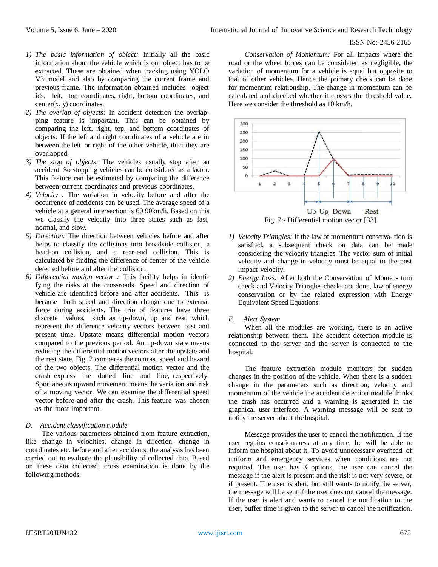- *1) The basic information of object:* Initially all the basic information about the vehicle which is our object has to be extracted. These are obtained when tracking using YOLO V3 model and also by comparing the current frame and previous frame. The information obtained includes object ids, left, top coordinates, right, bottom coordinates, and  $center(x, y)$  coordinates.
- *2) The overlap of objects:* In accident detection the overlapping feature is important. This can be obtained by comparing the left, right, top, and bottom coordinates of objects. If the left and right coordinates of a vehicle are in between the left or right of the other vehicle, then they are overlapped.
- *3) The stop of objects:* The vehicles usually stop after an accident. So stopping vehicles can be considered as a factor. This feature can be estimated by comparing the difference between current coordinates and previous coordinates.
- *4) Velocity :* The variation in velocity before and after the occurrence of accidents can be used. The average speed of a vehicle at a general intersection is 60 90km/h. Based on this we classify the velocity into three states such as fast, normal, and slow.
- *5) Direction:* The direction between vehicles before and after helps to classify the collisions into broadside collision, a head-on collision, and a rear-end collision. This is calculated by finding the difference of center of the vehicle detected before and after the collision.
- *6) Differential motion vector :* This facility helps in identifying the risks at the crossroads. Speed and direction of vehicle are identified before and after accidents. This is because both speed and direction change due to external force during accidents. The trio of features have three discrete values, such as up-down, up and rest, which represent the difference velocity vectors between past and present time. Upstate means differential motion vectors compared to the previous period. An up-down state means reducing the differential motion vectors after the upstate and the rest state. Fig. 2 compares the contrast speed and hazard of the two objects. The differential motion vector and the crash express the dotted line and line, respectively. Spontaneous upward movement means the variation and risk of a moving vector. We can examine the differential speed vector before and after the crash. This feature was chosen as the most important.

## *D. Accident classification module*

The various parameters obtained from feature extraction, like change in velocities, change in direction, change in coordinates etc. before and after accidents, the analysis has been carried out to evaluate the plausibility of collected data. Based on these data collected, cross examination is done by the following methods:

*Conservation of Momentum:* For all impacts where the road or the wheel forces can be considered as negligible, the variation of momentum for a vehicle is equal but opposite to that of other vehicles. Hence the primary check can be done for momentum relationship. The change in momentum can be calculated and checked whether it crosses the threshold value. Here we consider the threshold as 10 km/h.



- *1) Velocity Triangles:* If the law of momentum conserva- tion is satisfied, a subsequent check on data can be made considering the velocity triangles. The vector sum of initial velocity and change in velocity must be equal to the post impact velocity.
- *2) Energy Loss:* After both the Conservation of Momen- tum check and Velocity Triangles checks are done, law of energy conservation or by the related expression with Energy Equivalent Speed Equations.

#### *E. Alert System*

When all the modules are working, there is an active relationship between them. The accident detection module is connected to the server and the server is connected to the hospital.

The feature extraction module monitors for sudden changes in the position of the vehicle. When there is a sudden change in the parameters such as direction, velocity and momentum of the vehicle the accident detection module thinks the crash has occurred and a warning is generated in the graphical user interface. A warning message will be sent to notify the server about the hospital.

Message provides the user to cancel the notification. If the user regains consciousness at any time, he will be able to inform the hospital about it. To avoid unnecessary overhead of uniform and emergency services when conditions are not required. The user has 3 options, the user can cancel the message if the alert is present and the risk is not very severe, or if present. The user is alert, but still wants to notify the server, the message will be sent if the user does not cancel the message. If the user is alert and wants to cancel the notification to the user, buffer time is given to the server to cancel the notification.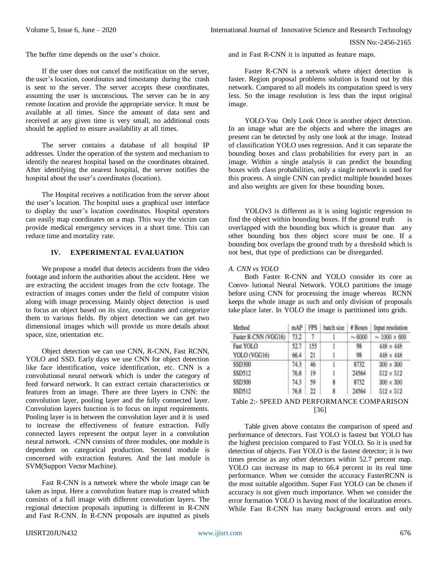The buffer time depends on the user's choice.

If the user does not cancel the notification on the server, the user's location, coordinates and timestamp during the crash is sent to the server. The server accepts these coordinates, assuming the user is unconscious. The server can be in any remote location and provide the appropriate service. It must be available at all times. Since the amount of data sent and received at any given time is very small, no additional costs should be applied to ensure availability at all times.

The server contains a database of all hospital IP addresses. Under the operation of the system and mechanism to identify the nearest hospital based on the coordinates obtained. After identifying the nearest hospital, the server notifies the hospital about the user's coordinates (location).

The Hospital receives a notification from the server about the user's location. The hospital uses a graphical user interface to display the user's location coordinates. Hospital operators can easily map coordinates on a map. This way the victim can provide medical emergency services in a short time. This can reduce time and mortality rate.

# **IV. EXPERIMENTAL EVALUATION**

We propose a model that detects accidents from the video footage and inform the authorities about the accident. Here we are extracting the accident images from the cctv footage. The extraction of images comes under the field of computer vision along with image processing. Mainly object detection is used to focus an object based on its size, coordinates and categorize them to various fields. By object detection we can get two dimensional images which will provide us more details about space, size, orientation etc.

Object detection we can use CNN, R-CNN, Fast RCNN, YOLO and SSD. Early days we use CNN for object detection like face identification, voice identification, etc. CNN is a convolutional neural network which is under the category of feed forward network. It can extract certain characteristics or features from an image. There are three layers in CNN: the convolution layer, pooling layer and the fully connected layer. Convolution layers function is to focus on input requirements. Pooling layer is in between the convolution layer and it is used to increase the effectiveness of feature extraction. Fully connected layers represent the output layer in a convolution neural network. -CNN consists of three modules, one module is dependent on categorical production. Second module is concerned with extraction features. And the last module is SVM(Support Vector Machine).

Fast R-CNN is a network where the whole image can be taken as input. Here a convolution feature map is created which consists of a full image with different convolution layers. The regional detection proposals inputting is different in R-CNN and Fast R-CNN. In R-CNN proposals are inputted as pixels and in Fast R-CNN it is inputted as feature maps.

Faster R-CNN is a network where object detection is faster. Region proposal problems solution is found out by this network. Compared to all models its computation speed is very less. So the image resolution is less than the input original image.

YOLO-You Only Look Once is another object detection. In an image what are the objects and where the images are present can be detected by only one look at the image. Instead of classification YOLO uses regression. And it can separate the bounding boxes and class probabilities for every part in an image. Within a single analysis it can predict the bounding boxes with class probabilities, only a single network is used for this process. A single CNN can predict multiple bounded boxes and also weights are given for these bounding boxes.

YOLOv3 is different as it is using logistic regression to find the object within bounding boxes. If the ground truth is overlapped with the bounding box which is greater than any other bounding box then object score must be one. If a bounding box overlaps the ground truth by a threshold which is not best, that type of predictions can be disregarded.

#### *A. CNN vs YOLO*

Both Faster R-CNN and YOLO consider its core as Convo- lutional Neural Network. YOLO partitions the image before using CNN for processing the image whereas RCNN keeps the whole image as such and only division of proposals take place later. In YOLO the image is partitioned into grids.

| Method               | mAP  | <b>FPS</b> | batch size | # Boxes     | Input resolution       |
|----------------------|------|------------|------------|-------------|------------------------|
| Faster R-CNN (VGG16) | 73.2 | 7          | ŀ          | $\sim 6000$ | $\sim 1000 \times 600$ |
| Fast YOLO            | 52.7 | 155        |            | 98          | $448\times448$         |
| YOLO (VGG16)         | 66.4 | 21         |            | 98          | $448 \times 448$       |
| <b>SSD300</b>        | 74.3 | 46         |            | 8732        | $300 \times 300$       |
| SSD512               | 76.8 | 19         |            | 24564       | $512 \times 512$       |
| <b>SSD300</b>        | 74.3 | 59         | 8          | 8732        | $300 \times 300$       |
| SSD512               | 76.8 | 22         | 8          | 24564       | $512 \times 512$       |

## Table 2:- SPEED AND PERFORMANCE COMPARISON [36]

Table given above contains the comparison of speed and performance of detectors. Fast YOLO is fastest but YOLO has the highest precision compared to Fast YOLO. So it is used for detection of objects. Fast YOLO is the fastest detector; it is two times precise as any other detectors within 52.7 percent map. YOLO can increase its map to 66.4 percent in its real time performance. When we consider the accuracy FasterRCNN is the most suitable algorithm. Super Fast YOLO can be chosen if accuracy is not given much importance. When we consider the error formation YOLO is having most of the localization errors. While Fast R-CNN has many background errors and only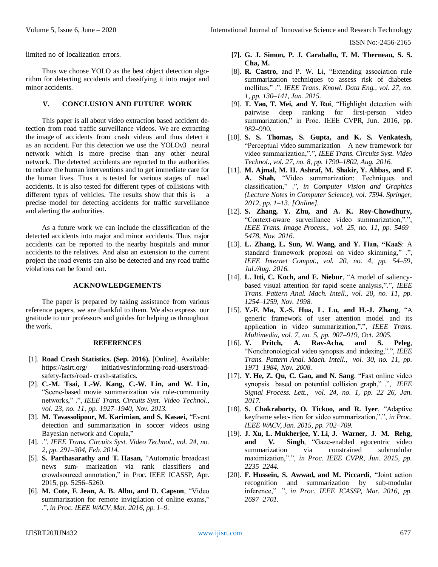limited no of localization errors.

Thus we choose YOLO as the best object detection algorithm for detecting accidents and classifying it into major and minor accidents.

#### **V. CONCLUSION AND FUTURE WORK**

This paper is all about video extraction based accident detection from road traffic surveillance videos. We are extracting the image of accidents from crash videos and thus detect it as an accident. For this detection we use the YOLOv3 neural network which is more precise than any other neural network. The detected accidents are reported to the authorities to reduce the human interventions and to get immediate care for the human lives. Thus it is tested for various stages of road accidents. It is also tested for different types of collisions with different types of vehicles. The results show that this is a precise model for detecting accidents for traffic surveillance and alerting the authorities.

As a future work we can include the classification of the detected accidents into major and minor accidents. Thus major accidents can be reported to the nearby hospitals and minor accidents to the relatives. And also an extension to the current project the road events can also be detected and any road traffic violations can be found out.

#### **ACKNOWLEDGEMENTS**

The paper is prepared by taking assistance from various reference papers, we are thankful to them. We also express our gratitude to our professors and guides for helping us throughout the work.

#### **REFERENCES**

- [1]. **Road Crash Statistics. (Sep. 2016).** [Online]. Available: https://asirt.org/ initiatives/informing-road-users/roadsafety-facts/road- crash-statistics.
- [2]. **C.-M. Tsai, L.-W. Kang, C.-W. Lin, and W. Lin,**  "Scene-based movie summarization via role-community networks," .", *IEEE Trans. Circuits Syst. Video Technol., vol. 23, no. 11, pp. 1927–1940, Nov. 2013.*
- [3]. **M. Tavassolipour, M. Karimian, and S. Kasaei,** "Event detection and summarization in soccer videos using Bayesian network and Copula,"
- [4]. .", *IEEE Trans. Circuits Syst. Video Technol., vol. 24, no. 2, pp. 291–304, Feb. 2014.*
- [5]. **S. Parthasarathy and T. Hasan,** "Automatic broadcast news sum- marization via rank classifiers and crowdsourced annotation," in Proc. IEEE ICASSP, Apr. 2015, pp. 5256–5260.
- [6]. **M. Cote, F. Jean, A. B. Albu, and D. Capson**, "Video summarization for remote invigilation of online exams," .", *in Proc. IEEE WACV, Mar. 2016, pp. 1–9.*
- **[7]. G. J. Simon, P. J. Caraballo, T. M. Therneau, S. S. Cha, M.**
- [8]. **R. Castro**, and P. W. Li, "Extending association rule summarization techniques to assess risk of diabetes mellitus," .", *IEEE Trans. Knowl. Data Eng., vol. 27, no. 1, pp. 130–141, Jan. 2015.*
- [9]. **T. Yao, T. Mei, and Y. Rui**, "Highlight detection with pairwise deep ranking for first-person video summarization," in Proc. IEEE CVPR, Jun. 2016, pp. 982–990.
- [10]. **S. S. Thomas, S. Gupta, and K. S. Venkatesh,**  "Perceptual video summarization—A new framework for video summarization,".", *IEEE Trans. Circuits Syst. Video Technol., vol. 27, no. 8, pp. 1790–1802, Aug. 2016.*
- [11]. **M. Ajmal, M. H. Ashraf, M. Shakir, Y. Abbas, and F. A. Shah,** "Video summarization: Techniques and classification," .", *in Computer Vision and Graphics (Lecture Notes in Computer Science), vol. 7594. Springer, 2012, pp. 1–13. [Online].*
- [12]. **S. Zhang, Y. Zhu, and A. K. Roy-Chowdhury,**  "Context-aware surveillance video summarization,".", *IEEE Trans. Image Process., vol. 25, no. 11, pp. 5469– 5478, Nov. 2016.*
- [13]. **L. Zhang, L. Sun, W. Wang, and Y. Tian, "KaaS**: A standard framework proposal on video skimming," .", *IEEE Internet Comput., vol. 20, no. 4, pp. 54–59, Jul./Aug. 2016.*
- [14]. **L. Itti, C. Koch, and E. Niebur**, "A model of saliencybased visual attention for rapid scene analysis,".", *IEEE Trans. Pattern Anal. Mach. Intell., vol. 20, no. 11, pp. 1254–1259, Nov. 1998.*
- [15]. **Y.-F. Ma, X.-S. Hua, L. Lu, and H.-J. Zhang**, "A generic framework of user attention model and its application in video summarization,".", *IEEE Trans. Multimedia, vol. 7, no. 5, pp. 907–919, Oct. 2005.*
- [16]. **Y. Pritch, A. Rav-Acha, and S. Peleg**, "Nonchronological video synopsis and indexing,".", *IEEE Trans. Pattern Anal. Mach. Intell., vol. 30, no. 11, pp. 1971–1984, Nov. 2008.*
- [17]. **Y. He, Z. Qu, C. Gao, and N. Sang**, "Fast online video synopsis based on potential collision graph," .", *IEEE Signal Process. Lett., vol. 24, no. 1, pp. 22–26, Jan. 2017.*
- [18]. **S. Chakraborty, O. Tickoo, and R. Iyer**, "Adaptive keyframe selec- tion for video summarization,".", *in Proc. IEEE WACV, Jan. 2015, pp. 702–709.*
- [19]. **J. Xu, L. Mukherjee, Y. Li, J. Warner, J. M. Rehg, and V. Singh**, "Gaze-enabled egocentric video summarization via constrained submodular maximization,".", *in Proc. IEEE CVPR, Jun. 2015, pp. 2235–2244.*
- [20]. **F. Hussein, S. Awwad, and M. Piccardi**, "Joint action recognition and summarization by sub-modular inference," .", *in Proc. IEEE ICASSP, Mar. 2016, pp. 2697–2701.*